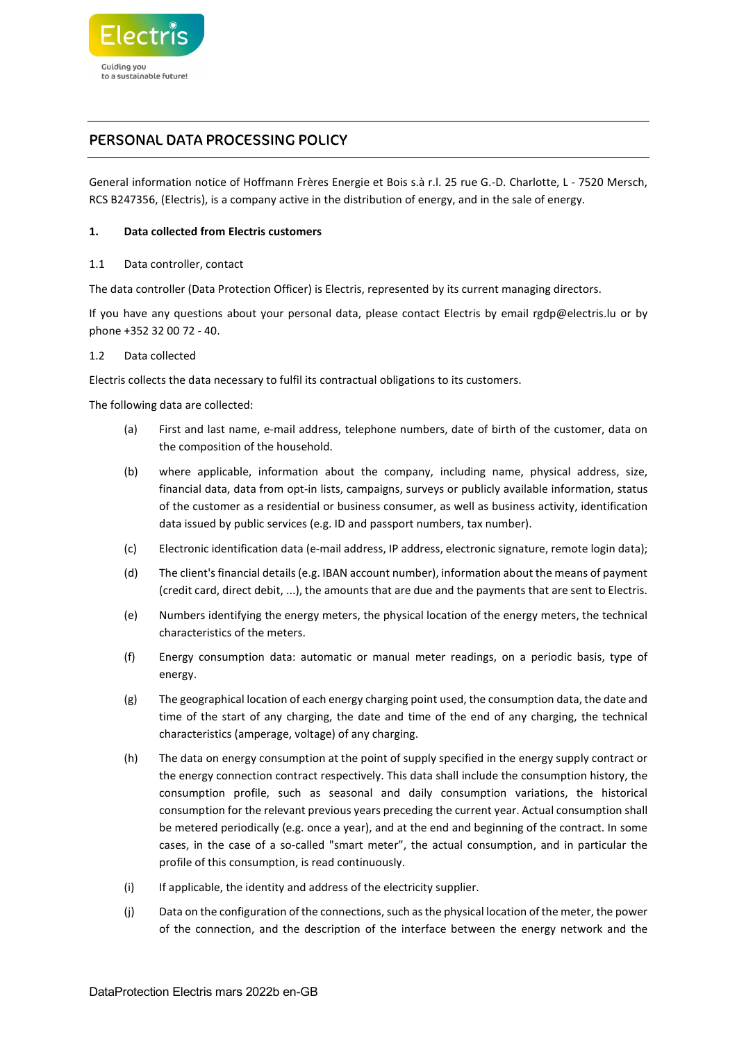

# PERSONAL DATA PROCESSING POLICY

General information notice of Hoffmann Frères Energie et Bois s.à r.l. 25 rue G.-D. Charlotte, L - 7520 Mersch, RCS B247356, (Electris), is a company active in the distribution of energy, and in the sale of energy.

## 1. Data collected from Electris customers

## 1.1 Data controller, contact

The data controller (Data Protection Officer) is Electris, represented by its current managing directors.

If you have any questions about your personal data, please contact Electris by email rgdp@electris.lu or by phone +352 32 00 72 - 40.

### 1.2 Data collected

Electris collects the data necessary to fulfil its contractual obligations to its customers.

The following data are collected:

- (a) First and last name, e-mail address, telephone numbers, date of birth of the customer, data on the composition of the household.
- (b) where applicable, information about the company, including name, physical address, size, financial data, data from opt-in lists, campaigns, surveys or publicly available information, status of the customer as a residential or business consumer, as well as business activity, identification data issued by public services (e.g. ID and passport numbers, tax number).
- (c) Electronic identification data (e-mail address, IP address, electronic signature, remote login data);
- (d) The client's financial details (e.g. IBAN account number), information about the means of payment (credit card, direct debit, ...), the amounts that are due and the payments that are sent to Electris.
- (e) Numbers identifying the energy meters, the physical location of the energy meters, the technical characteristics of the meters.
- (f) Energy consumption data: automatic or manual meter readings, on a periodic basis, type of energy.
- (g) The geographical location of each energy charging point used, the consumption data, the date and time of the start of any charging, the date and time of the end of any charging, the technical characteristics (amperage, voltage) of any charging.
- (h) The data on energy consumption at the point of supply specified in the energy supply contract or the energy connection contract respectively. This data shall include the consumption history, the consumption profile, such as seasonal and daily consumption variations, the historical consumption for the relevant previous years preceding the current year. Actual consumption shall be metered periodically (e.g. once a year), and at the end and beginning of the contract. In some cases, in the case of a so-called "smart meter", the actual consumption, and in particular the profile of this consumption, is read continuously.
- (i) If applicable, the identity and address of the electricity supplier.
- (j) Data on the configuration of the connections, such as the physical location of the meter, the power of the connection, and the description of the interface between the energy network and the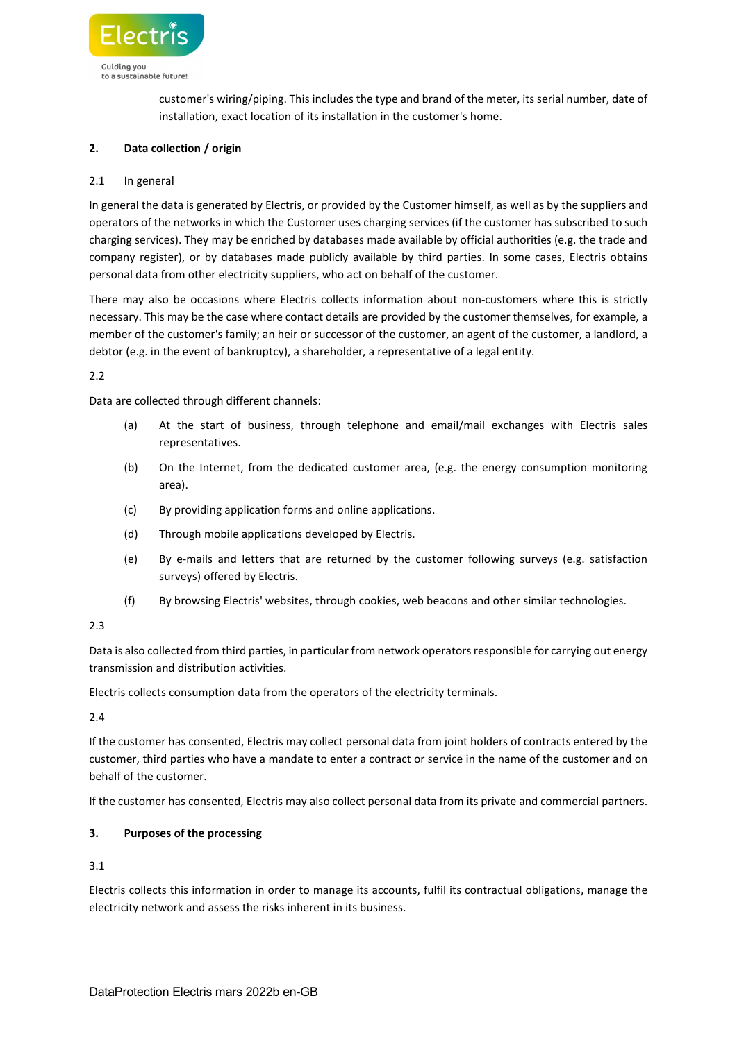

customer's wiring/piping. This includes the type and brand of the meter, its serial number, date of installation, exact location of its installation in the customer's home.

# 2. Data collection / origin

### 2.1 In general

In general the data is generated by Electris, or provided by the Customer himself, as well as by the suppliers and operators of the networks in which the Customer uses charging services (if the customer has subscribed to such charging services). They may be enriched by databases made available by official authorities (e.g. the trade and company register), or by databases made publicly available by third parties. In some cases, Electris obtains personal data from other electricity suppliers, who act on behalf of the customer.

There may also be occasions where Electris collects information about non-customers where this is strictly necessary. This may be the case where contact details are provided by the customer themselves, for example, a member of the customer's family; an heir or successor of the customer, an agent of the customer, a landlord, a debtor (e.g. in the event of bankruptcy), a shareholder, a representative of a legal entity.

## 2.2

Data are collected through different channels:

- (a) At the start of business, through telephone and email/mail exchanges with Electris sales representatives.
- (b) On the Internet, from the dedicated customer area, (e.g. the energy consumption monitoring area).
- (c) By providing application forms and online applications.
- (d) Through mobile applications developed by Electris.
- (e) By e-mails and letters that are returned by the customer following surveys (e.g. satisfaction surveys) offered by Electris.
- (f) By browsing Electris' websites, through cookies, web beacons and other similar technologies.

### 2.3

Data is also collected from third parties, in particular from network operators responsible for carrying out energy transmission and distribution activities.

Electris collects consumption data from the operators of the electricity terminals.

# $2.4$

If the customer has consented, Electris may collect personal data from joint holders of contracts entered by the customer, third parties who have a mandate to enter a contract or service in the name of the customer and on behalf of the customer.

If the customer has consented, Electris may also collect personal data from its private and commercial partners.

# 3. Purposes of the processing

3.1

Electris collects this information in order to manage its accounts, fulfil its contractual obligations, manage the electricity network and assess the risks inherent in its business.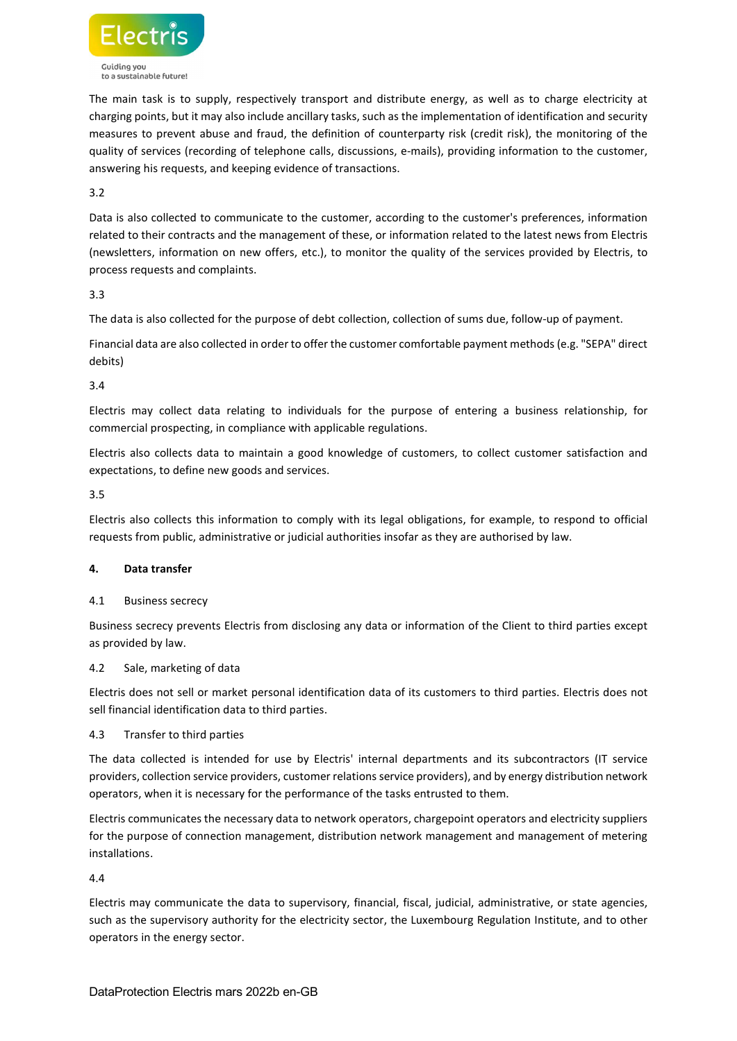

The main task is to supply, respectively transport and distribute energy, as well as to charge electricity at charging points, but it may also include ancillary tasks, such as the implementation of identification and security measures to prevent abuse and fraud, the definition of counterparty risk (credit risk), the monitoring of the quality of services (recording of telephone calls, discussions, e-mails), providing information to the customer, answering his requests, and keeping evidence of transactions.

3.2

Data is also collected to communicate to the customer, according to the customer's preferences, information related to their contracts and the management of these, or information related to the latest news from Electris (newsletters, information on new offers, etc.), to monitor the quality of the services provided by Electris, to process requests and complaints.

3.3

The data is also collected for the purpose of debt collection, collection of sums due, follow-up of payment.

Financial data are also collected in order to offer the customer comfortable payment methods (e.g. "SEPA" direct debits)

3.4

Electris may collect data relating to individuals for the purpose of entering a business relationship, for commercial prospecting, in compliance with applicable regulations.

Electris also collects data to maintain a good knowledge of customers, to collect customer satisfaction and expectations, to define new goods and services.

3.5

Electris also collects this information to comply with its legal obligations, for example, to respond to official requests from public, administrative or judicial authorities insofar as they are authorised by law.

# 4. Data transfer

### 4.1 Business secrecy

Business secrecy prevents Electris from disclosing any data or information of the Client to third parties except as provided by law.

### 4.2 Sale, marketing of data

Electris does not sell or market personal identification data of its customers to third parties. Electris does not sell financial identification data to third parties.

### 4.3 Transfer to third parties

The data collected is intended for use by Electris' internal departments and its subcontractors (IT service providers, collection service providers, customer relations service providers), and by energy distribution network operators, when it is necessary for the performance of the tasks entrusted to them.

Electris communicates the necessary data to network operators, chargepoint operators and electricity suppliers for the purpose of connection management, distribution network management and management of metering installations.

4.4

Electris may communicate the data to supervisory, financial, fiscal, judicial, administrative, or state agencies, such as the supervisory authority for the electricity sector, the Luxembourg Regulation Institute, and to other operators in the energy sector.